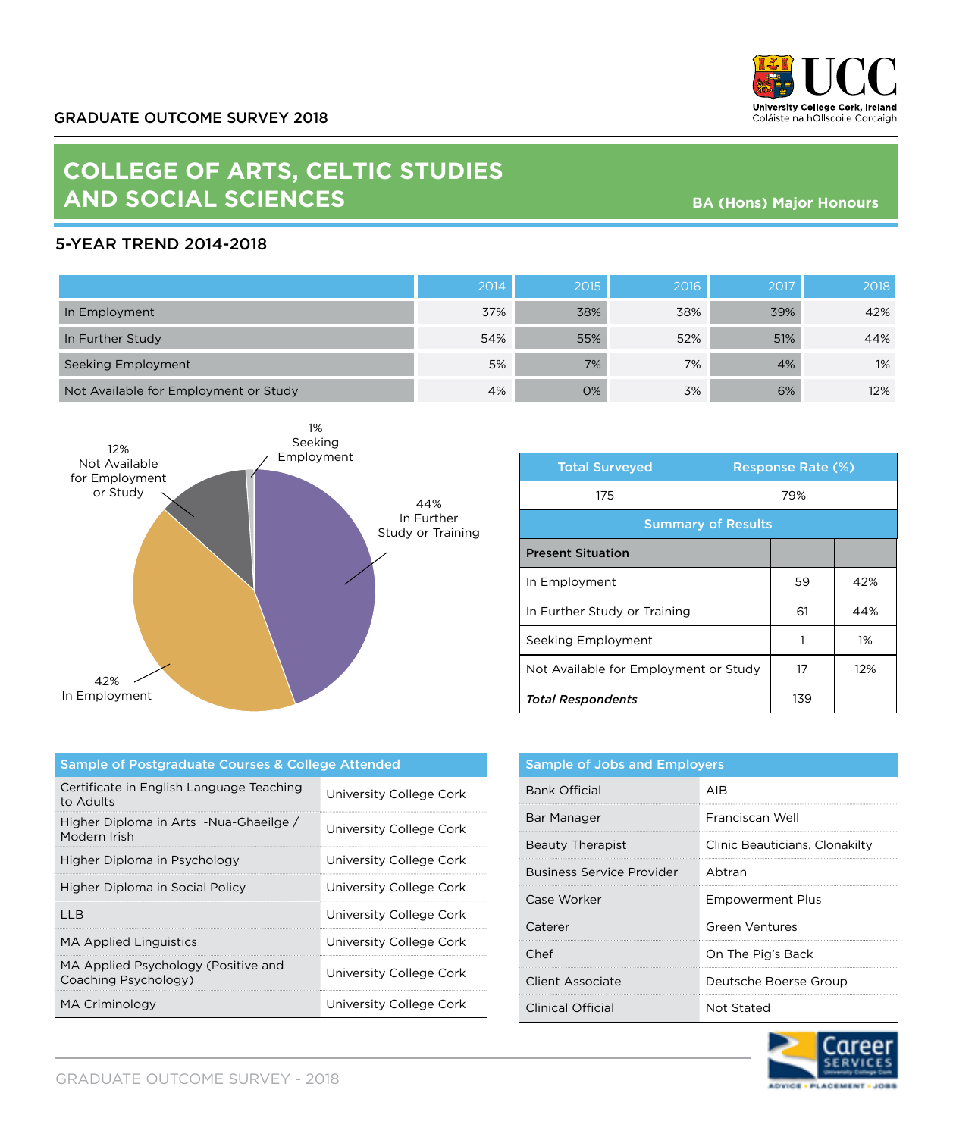

## **COLLEGE OF ARTS, CELTIC STUDIES AND SOCIAL SCIENCES**

**BA (Hons) Major Honours**

## 5-YEAR TREND 2014-2018

|                                       | 2014 | 2015 | 2016 | 2017 | 2018  |
|---------------------------------------|------|------|------|------|-------|
| In Employment                         | 37%  | 38%  | 38%  | 39%  | 42%   |
| In Further Study                      | 54%  | 55%  | 52%  | 51%  | 44%   |
| Seeking Employment                    | 5%   | 7%   | 7%   | 4%   | $1\%$ |
| Not Available for Employment or Study | 4%   | 0%   | 3%   | 6%   | 12%   |



| <b>Total Surveyed</b>                 |     | <b>Response Rate (%)</b> |     |
|---------------------------------------|-----|--------------------------|-----|
| 175                                   | 79% |                          |     |
| <b>Summary of Results</b>             |     |                          |     |
| <b>Present Situation</b>              |     |                          |     |
| In Employment                         |     | 59                       | 42% |
| In Further Study or Training          |     | 61                       | 44% |
| Seeking Employment                    |     |                          | 1%  |
| Not Available for Employment or Study |     | 17                       | 12% |
| <b>Total Respondents</b>              |     | 139                      |     |

| Sample of Postgraduate Courses & College Attended           |                         |  |
|-------------------------------------------------------------|-------------------------|--|
| Certificate in English Language Teaching<br>to Adults       | University College Cork |  |
| Higher Diploma in Arts -Nua-Ghaeilge /<br>Modern Irish      | University College Cork |  |
| Higher Diploma in Psychology                                | University College Cork |  |
| Higher Diploma in Social Policy                             | University College Cork |  |
| IIB                                                         | University College Cork |  |
| <b>MA Applied Linguistics</b>                               | University College Cork |  |
| MA Applied Psychology (Positive and<br>Coaching Psychology) | University College Cork |  |
| MA Criminology                                              | University College Cork |  |

| <b>Sample of Jobs and Employers</b> |                                |  |
|-------------------------------------|--------------------------------|--|
| Bank Official                       | AIR                            |  |
| Bar Manager                         | Franciscan Well                |  |
| Beauty Therapist                    | Clinic Beauticians, Clonakilty |  |
| Business Service Provider           | Abtran                         |  |
| Case Worker                         | <b>Empowerment Plus</b>        |  |
| Caterer                             | Green Ventures                 |  |
| Chef                                | On The Pig's Back              |  |
| Client Associate                    | Deutsche Boerse Group          |  |
| Clinical Official                   | Not Stated                     |  |